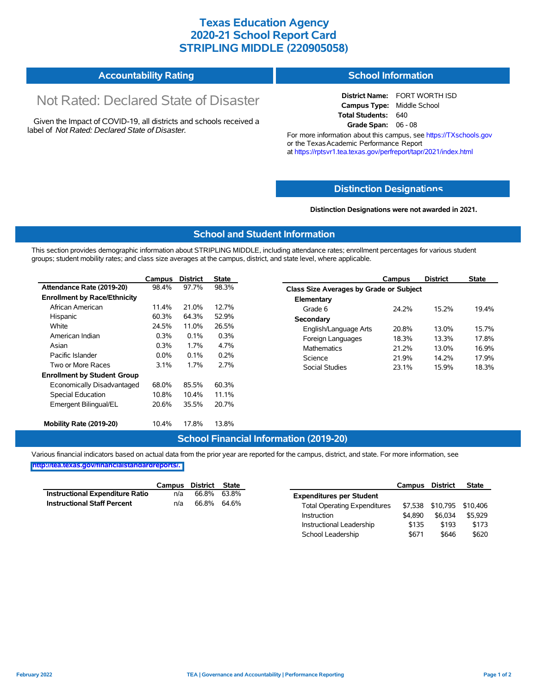## **Texas Education Agency 2020-21 School Report Card STRIPLING MIDDLE (220905058)**

#### **Accountability Rating School Information**

# Not Rated: Declared State of Disaster

Given the Impact of COVID-19, all districts and schools received a label of *Not Rated: Declared State of Disaster.*

**District Name:** FORT WORTH ISD **Campus Type:** Middle School **Total Students:** 640 **Grade Span:** 06 - 08

For more information about this campus, see https://TXschools.gov or the Texas Academic Performance Report at https://rptsvr1.tea.texas.gov/perfreport/tapr/2021/index.html

#### **Distinction Designat[ions](https://TXschools.gov)**

**Distinction Designations were not awarded in 2021.**

School Leadership  $$671$  \$646 \$620

#### **School and Student Information**

This section provides demographic information about STRIPLING MIDDLE, including attendance rates; enrollment percentages for various student groups; student mobility rates; and class size averages at the campus, district, and state level, where applicable.

|                                     | Campus                                                                                                                                      | <b>District</b> | <b>State</b> | Campus                         | <b>District</b>                         | <b>State</b> |  |  |  |  |
|-------------------------------------|---------------------------------------------------------------------------------------------------------------------------------------------|-----------------|--------------|--------------------------------|-----------------------------------------|--------------|--|--|--|--|
| Attendance Rate (2019-20)           | 98.4%                                                                                                                                       | 97.7%           | 98.3%        |                                | Class Size Averages by Grade or Subject |              |  |  |  |  |
| <b>Enrollment by Race/Ethnicity</b> |                                                                                                                                             |                 |              | Elementary                     |                                         |              |  |  |  |  |
| African American                    | 11.4%                                                                                                                                       | 21.0%           | 12.7%        | Grade 6<br>24.2%               | 15.2%                                   | 19.4%        |  |  |  |  |
| Hispanic                            | 60.3%                                                                                                                                       | 64.3%           | 52.9%        | Secondary                      |                                         |              |  |  |  |  |
| White                               | 24.5%<br>11.0%<br>26.5%<br>English/Language Arts<br>0.3%<br>0.3%<br>0.1%<br>Foreign Languages<br>0.3%<br>4.7%<br>1.7%<br><b>Mathematics</b> | 20.8%           | 13.0%        | 15.7%                          |                                         |              |  |  |  |  |
| American Indian                     |                                                                                                                                             | 18.3%           | 13.3%        | 17.8%<br>16.9%                 |                                         |              |  |  |  |  |
| Asian                               |                                                                                                                                             | 21.2%           | 13.0%        |                                |                                         |              |  |  |  |  |
| Pacific Islander                    | $0.0\%$                                                                                                                                     | 0.1%            | 0.2%         | 21.9%<br>Science               | 14.2%                                   | 17.9%        |  |  |  |  |
| Two or More Races                   | $3.1\%$                                                                                                                                     | 1.7%            | 2.7%         | <b>Social Studies</b><br>23.1% | 15.9%                                   | 18.3%        |  |  |  |  |
| <b>Enrollment by Student Group</b>  |                                                                                                                                             |                 |              |                                |                                         |              |  |  |  |  |
| Economically Disadvantaged          | 68.0%                                                                                                                                       | 85.5%           | 60.3%        |                                |                                         |              |  |  |  |  |
| Special Education                   | 10.8%                                                                                                                                       | 10.4%           | 11.1%        |                                |                                         |              |  |  |  |  |
| Emergent Bilingual/EL               | 20.6%                                                                                                                                       | 35.5%           | 20.7%        |                                |                                         |              |  |  |  |  |
|                                     |                                                                                                                                             |                 |              |                                |                                         |              |  |  |  |  |
| Mobility Rate (2019-20)             | 10.4%                                                                                                                                       | 17.8%           | 13.8%        |                                |                                         |              |  |  |  |  |

#### **School Financial Information (2019-20)**

Various financial indicators based on actual data from the prior year are reported for the campus, district, and state. For more information, see

**[http://tea.texas.gov/financialstandardreports/.](http://tea.texas.gov/financialstandardreports/)**

|                                    | Campus | District | State       |                                     | Campus  | <b>District</b> | <b>State</b>              |
|------------------------------------|--------|----------|-------------|-------------------------------------|---------|-----------------|---------------------------|
| Instructional Expenditure Ratio    | n/a    | 66.8%    | 63.8%       | <b>Expenditures per Student</b>     |         |                 |                           |
| <b>Instructional Staff Percent</b> | n/a    |          | 66.8% 64.6% | <b>Total Operating Expenditures</b> |         |                 | \$7,538 \$10,795 \$10,406 |
|                                    |        |          |             | Instruction                         | \$4.890 | \$6.034         | \$5.929                   |
|                                    |        |          |             | Instructional Leadership            | \$135   | \$193           | \$173                     |